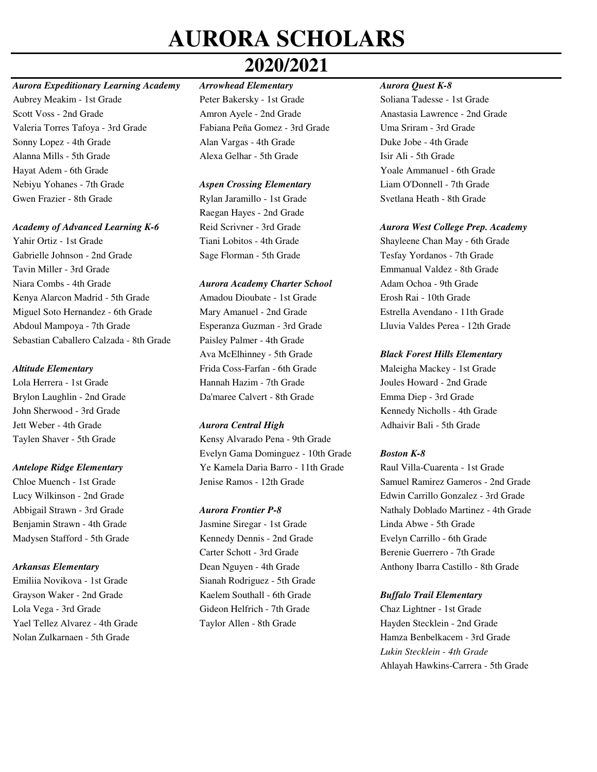## **2020/2021**

### *Aurora Expeditionary Learning Academy Arrowhead Elementary Aurora Quest K-8*

Aubrey Meakim - 1st Grade Peter Bakersky - 1st Grade Soliana Tadesse - 1st Grade Scott Voss - 2nd Grade Amron Ayele - 2nd Grade Anastasia Lawrence - 2nd Grade Valeria Torres Tafoya - 3rd Grade Fabiana Peña Gomez - 3rd Grade Uma Sriram - 3rd Grade Sonny Lopez - 4th Grade Alan Vargas - 4th Grade Duke Jobe - 4th Grade Alanna Mills - 5th Grade Alexa Gelhar - 5th Grade Isir Ali - 5th Grade Hayat Adem - 6th Grade Yoale Ammanuel - 6th Grade Nebiyu Yohanes - 7th Grade *Aspen Crossing Elementary* Liam O'Donnell - 7th Grade Gwen Frazier - 8th Grade Rylan Jaramillo - 1st Grade Svetlana Heath - 8th Grade

### *Academy of Advanced Learning K-6* Reid Scrivner - 3rd Grade *Aurora West College Prep. Academy*

Yahir Ortiz - 1st Grade Tiani Lobitos - 4th Grade Shayleene Chan May - 6th Grade Gabrielle Johnson - 2nd Grade Sage Florman - 5th Grade Tesfay Yordanos - 7th Grade Tavin Miller - 3rd Grade Emmanual Valdez - 8th Grade Niara Combs - 4th Grade *Aurora Academy Charter School* Adam Ochoa - 9th Grade Kenya Alarcon Madrid - 5th Grade Amadou Dioubate - 1st Grade Erosh Rai - 10th Grade Miguel Soto Hernandez - 6th Grade Mary Amanuel - 2nd Grade Estrella Avendano - 11th Grade Abdoul Mampoya - 7th Grade Esperanza Guzman - 3rd Grade Lluvia Valdes Perea - 12th Grade Sebastian Caballero Calzada - 8th Grade Paisley Palmer - 4th Grade

Jett Weber - 4th Grade *Aurora Central High* Adhaivir Bali - 5th Grade

Emiliia Novikova - 1st Grade Sianah Rodriguez - 5th Grade Grayson Waker - 2nd Grade Kaelem Southall - 6th Grade *Buffalo Trail Elementary* Lola Vega - 3rd Grade Gideon Helfrich - 7th Grade Chaz Lightner - 1st Grade Yael Tellez Alvarez - 4th Grade Taylor Allen - 8th Grade Hayden Stecklein - 2nd Grade

Raegan Hayes - 2nd Grade

Ava McElhinney - 5th Grade *Black Forest Hills Elementary Altitude Elementary* Frida Coss-Farfan - 6th Grade Maleigha Mackey - 1st Grade Lola Herrera - 1st Grade Hannah Hazim - 7th Grade Joules Howard - 2nd Grade Brylon Laughlin - 2nd Grade Da'maree Calvert - 8th Grade Emma Diep - 3rd Grade

Taylen Shaver - 5th Grade Kensy Alvarado Pena - 9th Grade Evelyn Gama Dominguez - 10th Grade *Boston K-8 Antelope Ridge Elementary* Ye Kamela Daria Barro - 11th Grade Raul Villa-Cuarenta - 1st Grade

Benjamin Strawn - 4th Grade Jasmine Siregar - 1st Grade Linda Abwe - 5th Grade Madysen Stafford - 5th Grade Kennedy Dennis - 2nd Grade Evelyn Carrillo - 6th Grade Carter Schott - 3rd Grade Berenie Guerrero - 7th Grade

John Sherwood - 3rd Grade Kennedy Nicholls - 4th Grade

Chloe Muench - 1st Grade Jenise Ramos - 12th Grade Samuel Ramirez Gameros - 2nd Grade Lucy Wilkinson - 2nd Grade Edwin Carrillo Gonzalez - 3rd Grade Abbigail Strawn - 3rd Grade *Aurora Frontier P-8* Nathaly Doblado Martinez - 4th Grade *Arkansas Elementary* Dean Nguyen - 4th Grade Anthony Ibarra Castillo - 8th Grade

Nolan Zulkarnaen - 5th Grade Hamza Benbelkacem - 3rd Grade *Lukin Stecklein - 4th Grade* Ahlayah Hawkins-Carrera - 5th Grade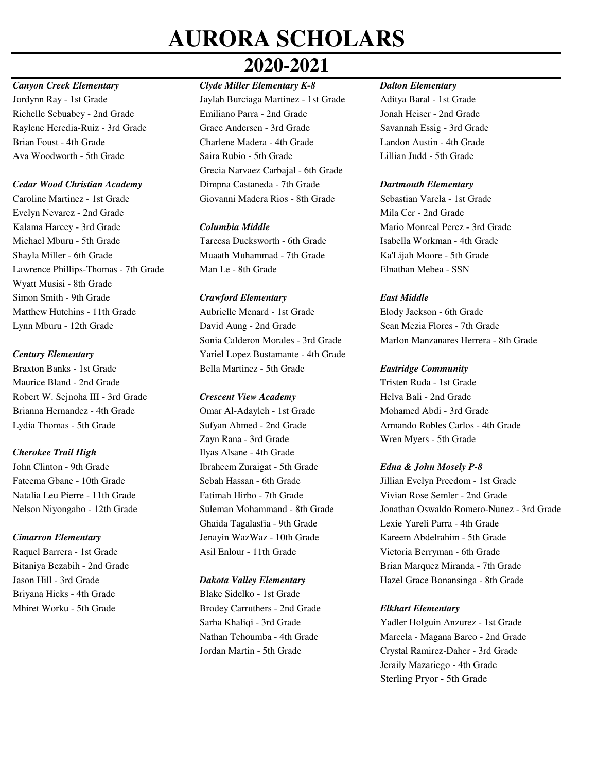### *Canyon Creek Elementary Clyde Miller Elementary K-8 Dalton Elementary*

Caroline Martinez - 1st Grade Giovanni Madera Rios - 8th Grade Sebastian Varela - 1st Grade Evelyn Nevarez - 2nd Grade Mila Cer - 2nd Grade Kalama Harcey - 3rd Grade *Columbia Middle* Mario Monreal Perez - 3rd Grade Michael Mburu - 5th Grade Tareesa Ducksworth - 6th Grade Isabella Workman - 4th Grade Shayla Miller - 6th Grade Muaath Muhammad - 7th Grade Ka'Lijah Moore - 5th Grade Lawrence Phillips-Thomas - 7th Grade Man Le - 8th Grade Elnathan Mebea - SSN Wyatt Musisi - 8th Grade Simon Smith - 9th Grade *Crawford Elementary East Middle*  Matthew Hutchins - 11th Grade Aubrielle Menard - 1st Grade Elody Jackson - 6th Grade Lynn Mburu - 12th Grade David Aung - 2nd Grade Sean Mezia Flores - 7th Grade

Maurice Bland - 2nd Grade Tristen Ruda - 1st Grade Robert W. Sejnoha III - 3rd Grade *Crescent View Academy* Helva Bali - 2nd Grade Brianna Hernandez - 4th Grade Omar Al-Adayleh - 1st Grade Mohamed Abdi - 3rd Grade

Briyana Hicks - 4th Grade Blake Sidelko - 1st Grade

# **2020-2021**

Jordynn Ray - 1st Grade Jaylah Burciaga Martinez - 1st Grade Aditya Baral - 1st Grade Richelle Sebuabey - 2nd Grade Emiliano Parra - 2nd Grade Jonah Heiser - 2nd Grade Raylene Heredia-Ruiz - 3rd Grade Grace Andersen - 3rd Grade Savannah Essig - 3rd Grade Brian Foust - 4th Grade Charlene Madera - 4th Grade Landon Austin - 4th Grade Ava Woodworth - 5th Grade Saira Rubio - 5th Grade Lillian Judd - 5th Grade Grecia Narvaez Carbajal - 6th Grade *Cedar Wood Christian Academy* Dimpna Castaneda - 7th Grade *Dartmouth Elementary* 

*Century Elementary* Yariel Lopez Bustamante - 4th Grade Braxton Banks - 1st Grade Bella Martinez - 5th Grade *Eastridge Community* 

Zayn Rana - 3rd Grade Wren Myers - 5th Grade **Cherokee Trail High**  Ilyas Alsane - 4th Grade John Clinton - 9th Grade Ibraheem Zuraigat - 5th Grade *Edna & John Mosely P-8* Natalia Leu Pierre - 11th Grade Fatimah Hirbo - 7th Grade Vivian Rose Semler - 2nd Grade Ghaida Tagalasfia - 9th Grade Lexie Yareli Parra - 4th Grade *Cimarron Elementary* Jenayin WazWaz - 10th Grade Kareem Abdelrahim - 5th Grade

Mhiret Worku - 5th Grade Brodey Carruthers - 2nd Grade *Elkhart Elementary*

Sonia Calderon Morales - 3rd Grade Marlon Manzanares Herrera - 8th Grade

Lydia Thomas - 5th Grade Sufyan Ahmed - 2nd Grade Armando Robles Carlos - 4th Grade

Fateema Gbane - 10th Grade Sebah Hassan - 6th Grade Jillian Evelyn Preedom - 1st Grade Nelson Niyongabo - 12th Grade Suleman Mohammand - 8th Grade Jonathan Oswaldo Romero-Nunez - 3rd Grade Raquel Barrera - 1st Grade Asil Enlour - 11th Grade Victoria Berryman - 6th Grade Bitaniya Bezabih - 2nd Grade **Brian Marquez Miranda - 7th Grade** Brian Marquez Miranda - 7th Grade Jason Hill - 3rd Grade *Dakota Valley Elementary* Hazel Grace Bonansinga - 8th Grade

Sarha Khaliqi - 3rd Grade Yadler Holguin Anzurez - 1st Grade Nathan Tchoumba - 4th Grade Marcela - Magana Barco - 2nd Grade Jordan Martin - 5th Grade Crystal Ramirez-Daher - 3rd Grade Jeraily Mazariego - 4th Grade Sterling Pryor - 5th Grade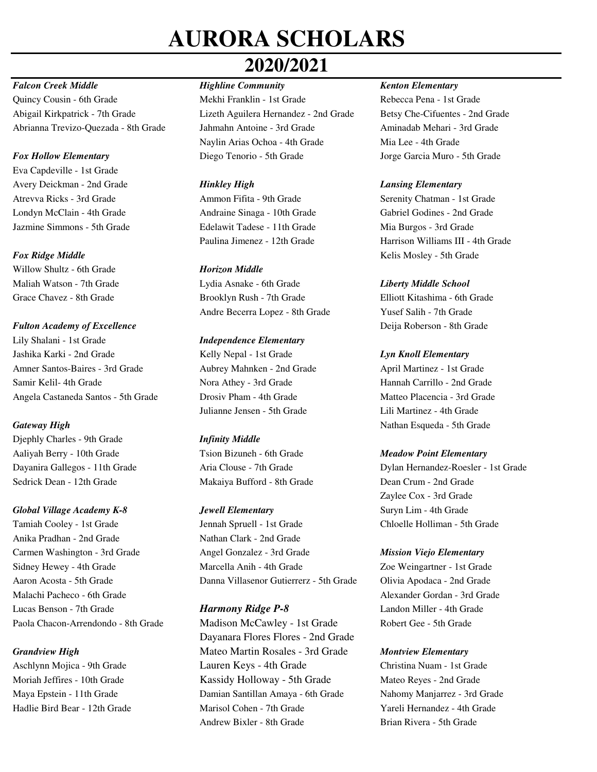## **2020/2021**

## *Falcon Creek Middle Highline Community Kenton Elementary*

Quincy Cousin - 6th Grade Mekhi Franklin - 1st Grade Rebecca Pena - 1st Grade Abigail Kirkpatrick - 7th Grade Lizeth Aguilera Hernandez - 2nd Grade Betsy Che-Cifuentes - 2nd Grade Abrianna Trevizo-Quezada - 8th Grade Jahmahn Antoine - 3rd Grade Aminadab Mehari - 3rd Grade

Eva Capdeville - 1st Grade Avery Deickman - 2nd Grade *Hinkley High Lansing Elementary* Atrevva Ricks - 3rd Grade Ammon Fifita - 9th Grade Serenity Chatman - 1st Grade Londyn McClain - 4th Grade Andraine Sinaga - 10th Grade Gabriel Godines - 2nd Grade Jazmine Simmons - 5th Grade Edelawit Tadese - 11th Grade Mia Burgos - 3rd Grade

Willow Shultz - 6th Grade *Horizon Middle*

**Fulton Academy of Excellence Deija Roberson - 8th Grade** Lily Shalani - 1st Grade *Independence Elementary* Jashika Karki - 2nd Grade Kelly Nepal - 1st Grade *Lyn Knoll Elementary*  Amner Santos-Baires - 3rd Grade Aubrey Mahnken - 2nd Grade April Martinez - 1st Grade Samir Kelil- 4th Grade Nora Athey - 3rd Grade Hannah Carrillo - 2nd Grade Angela Castaneda Santos - 5th Grade Drosiv Pham - 4th Grade Matteo Placencia - 3rd Grade

Djephly Charles - 9th Grade *Infinity Middle* Aaliyah Berry - 10th Grade Tsion Bizuneh - 6th Grade *Meadow Point Elementary* Sedrick Dean - 12th Grade Makaiya Bufford - 8th Grade Dean Crum - 2nd Grade

## *Global Village Academy K-8 Jewell Elementary* Suryn Lim - 4th Grade

Anika Pradhan - 2nd Grade Nathan Clark - 2nd Grade Malachi Pacheco - 6th Grade Alexander Gordan - 3rd Grade Alexander Gordan - 3rd Grade Lucas Benson - 7th Grade *Harmony Ridge P-8* Landon Miller - 4th Grade

Naylin Arias Ochoa - 4th Grade Mia Lee - 4th Grade *Fox Hollow Elementary* Diego Tenorio - 5th Grade Jorge Garcia Muro - 5th Grade

Maliah Watson - 7th Grade Lydia Asnake - 6th Grade *Liberty Middle School* Grace Chavez - 8th Grade Brooklyn Rush - 7th Grade Elliott Kitashima - 6th Grade Andre Becerra Lopez - 8th Grade Yusef Salih - 7th Grade

Julianne Jensen - 5th Grade Lili Martinez - 4th Grade

Tamiah Cooley - 1st Grade Jennah Spruell - 1st Grade Chloelle Holliman - 5th Grade Carmen Washington - 3rd Grade Angel Gonzalez - 3rd Grade *Mission Viejo Elementary* Sidney Hewey - 4th Grade Marcella Anih - 4th Grade Zoe Weingartner - 1st Grade Aaron Acosta - 5th Grade Danna Villasenor Gutierrerz - 5th Grade Olivia Apodaca - 2nd Grade

Paola Chacon-Arrendondo - 8th Grade Madison McCawley - 1st Grade Robert Gee - 5th Grade Dayanara Flores Flores - 2nd Grade **Grandview High Mateo Martin Rosales - 3rd Grade** *Montview Elementary Montview Elementary* Aschlynn Mojica - 9th Grade Lauren Keys - 4th Grade Christina Nuam - 1st Grade Moriah Jeffires - 10th Grade Kassidy Holloway - 5th Grade Mateo Reyes - 2nd Grade Maya Epstein - 11th Grade Damian Santillan Amaya - 6th Grade Nahomy Manjarrez - 3rd Grade Hadlie Bird Bear - 12th Grade Marisol Cohen - 7th Grade Yareli Hernandez - 4th Grade Andrew Bixler - 8th Grade Brian Rivera - 5th Grade

Paulina Jimenez - 12th Grade Harrison Williams III - 4th Grade **Fox Ridge Middle Kelis Mosley - 5th Grade** 

**Gateway High**  Nathan Esqueda - 5th Grade

Dayanira Gallegos - 11th Grade Aria Clouse - 7th Grade Dylan Hernandez-Roesler - 1st Grade Zaylee Cox - 3rd Grade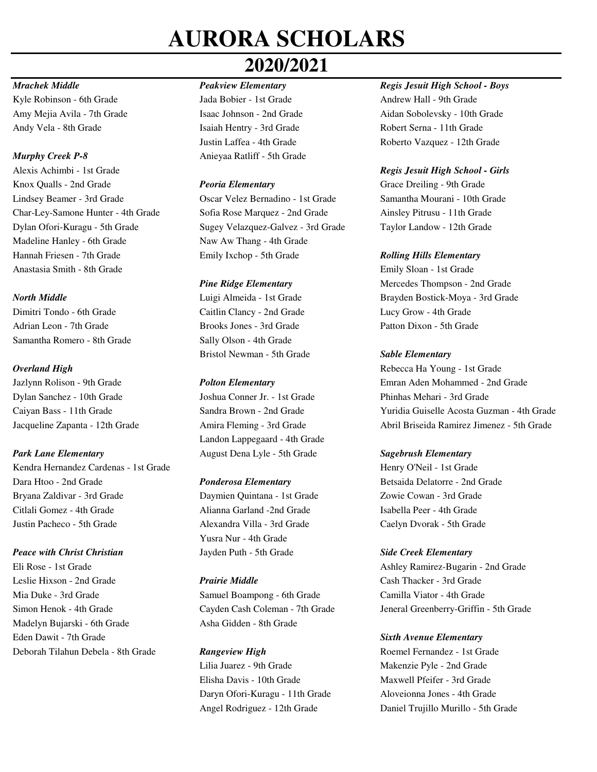## **2020/2021**

Kyle Robinson - 6th Grade Jada Bobier - 1st Grade Andrew Hall - 9th Grade Andy Vela - 8th Grade Isaiah Hentry - 3rd Grade Robert Serna - 11th Grade

Alexis Achimbi - 1st Grade *Regis Jesuit High School - Girls* Knox Qualls - 2nd Grade *Peoria Elementary* Grace Dreiling - 9th Grade Lindsey Beamer - 3rd Grade Oscar Velez Bernadino - 1st Grade Samantha Mourani - 10th Grade Char-Ley-Samone Hunter - 4th Grade Sofia Rose Marquez - 2nd Grade Ainsley Pitrusu - 11th Grade Dylan Ofori-Kuragu - 5th Grade Sugey Velazquez-Galvez - 3rd Grade Taylor Landow - 12th Grade Madeline Hanley - 6th Grade Naw Aw Thang - 4th Grade Hannah Friesen - 7th Grade Emily Ixchop - 5th Grade *Rolling Hills Elementary* Anastasia Smith - 8th Grade Emily Sloan - 1st Grade

Dimitri Tondo - 6th Grade Caitlin Clancy - 2nd Grade Lucy Grow - 4th Grade Adrian Leon - 7th Grade Brooks Jones - 3rd Grade Patton Dixon - 5th Grade Samantha Romero - 8th Grade Sally Olson - 4th Grade

**Park Lane Elementary 22 Constant August Dena Lyle - 5th Grade** *Sagebrush Elementary* **2014** Kendra Hernandez Cardenas - 1st Grade Henry O'Neil - 1st Grade Dara Htoo - 2nd Grade *Ponderosa Elementary* Betsaida Delatorre - 2nd Grade Bryana Zaldivar - 3rd Grade Daymien Quintana - 1st Grade Zowie Cowan - 3rd Grade Citlali Gomez - 4th Grade Alianna Garland -2nd Grade Isabella Peer - 4th Grade Justin Pacheco - 5th Grade Alexandra Villa - 3rd Grade Caelyn Dvorak - 5th Grade

Leslie Hixson - 2nd Grade *Prairie Middle* Cash Thacker - 3rd Grade Mia Duke - 3rd Grade Samuel Boampong - 6th Grade Camilla Viator - 4th Grade Madelyn Bujarski - 6th Grade Asha Gidden - 8th Grade Eden Dawit - 7th Grade *Sixth Avenue Elementary* Deborah Tilahun Debela - 8th Grade **Rangeview High** Roemel Fernandez - 1st Grade

*Murphy Creek P-8* Anieyaa Ratliff - 5th Grade

Bristol Newman - 5th Grade *Sable Elementary* 

Dylan Sanchez - 10th Grade Joshua Conner Jr. - 1st Grade Phinhas Mehari - 3rd Grade Landon Lappegaard - 4th Grade

Yusra Nur - 4th Grade *Peace with Christ Christian* Jayden Puth - 5th Grade *Side Creek Elementary*

Lilia Juarez - 9th Grade Makenzie Pyle - 2nd Grade Elisha Davis - 10th Grade Maxwell Pfeifer - 3rd Grade Daryn Ofori-Kuragu - 11th Grade Aloveionna Jones - 4th Grade

## *Mrachek Middle Peakview Elementary Regis Jesuit High School - Boys*

Amy Mejia Avila - 7th Grade Isaac Johnson - 2nd Grade Aidan Sobolevsky - 10th Grade Justin Laffea - 4th Grade Roberto Vazquez - 12th Grade

*Pine Ridge Elementary* Mercedes Thompson - 2nd Grade *North Middle* **Luigi Almeida - 1st Grade Brayden Bostick-Moya - 3rd Grade Brayden Bostick-Moya - 3rd Grade** 

*Overland High* Rebecca Ha Young - 1st Grade Jazlynn Rolison - 9th Grade *Polton Elementary* Emran Aden Mohammed - 2nd Grade Caiyan Bass - 11th Grade Sandra Brown - 2nd Grade Yuridia Guiselle Acosta Guzman - 4th Grade Jacqueline Zapanta - 12th Grade Amira Fleming - 3rd Grade Abril Briseida Ramirez Jimenez - 5th Grade

Eli Rose - 1st Grade Ashley Ramirez-Bugarin - 2nd Grade Simon Henok - 4th Grade Cayden Cash Coleman - 7th Grade Jeneral Greenberry-Griffin - 5th Grade

Angel Rodriguez - 12th Grade Daniel Trujillo Murillo - 5th Grade